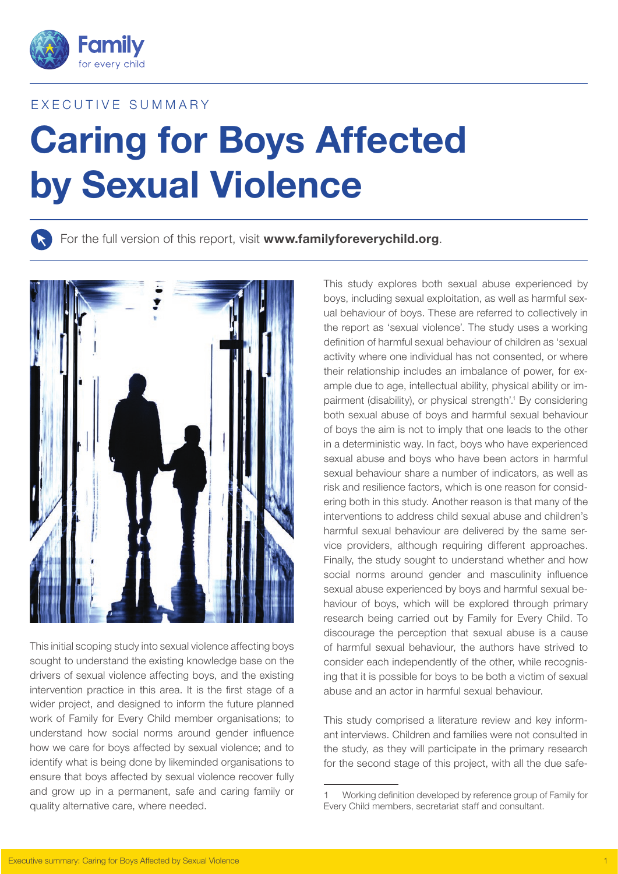

# EXECUTIVE SUMMARY

# Caring for Boys Affected by Sexual Violence

For the full version of this report, visit www.familyforeverychild.org.



This initial scoping study into sexual violence affecting boys sought to understand the existing knowledge base on the drivers of sexual violence affecting boys, and the existing intervention practice in this area. It is the first stage of a wider project, and designed to inform the future planned work of Family for Every Child member organisations; to understand how social norms around gender influence how we care for boys affected by sexual violence; and to identify what is being done by likeminded organisations to ensure that boys affected by sexual violence recover fully and grow up in a permanent, safe and caring family or quality alternative care, where needed.

This study explores both sexual abuse experienced by boys, including sexual exploitation, as well as harmful sexual behaviour of boys. These are referred to collectively in the report as 'sexual violence'. The study uses a working definition of harmful sexual behaviour of children as 'sexual activity where one individual has not consented, or where their relationship includes an imbalance of power, for example due to age, intellectual ability, physical ability or impairment (disability), or physical strength'.<sup>1</sup> By considering both sexual abuse of boys and harmful sexual behaviour of boys the aim is not to imply that one leads to the other in a deterministic way. In fact, boys who have experienced sexual abuse and boys who have been actors in harmful sexual behaviour share a number of indicators, as well as risk and resilience factors, which is one reason for considering both in this study. Another reason is that many of the interventions to address child sexual abuse and children's harmful sexual behaviour are delivered by the same service providers, although requiring different approaches. Finally, the study sought to understand whether and how social norms around gender and masculinity influence sexual abuse experienced by boys and harmful sexual behaviour of boys, which will be explored through primary research being carried out by Family for Every Child. To discourage the perception that sexual abuse is a cause of harmful sexual behaviour, the authors have strived to consider each independently of the other, while recognising that it is possible for boys to be both a victim of sexual abuse and an actor in harmful sexual behaviour.

This study comprised a literature review and key informant interviews. Children and families were not consulted in the study, as they will participate in the primary research for the second stage of this project, with all the due safe-

<sup>1</sup> Working definition developed by reference group of Family for Every Child members, secretariat staff and consultant.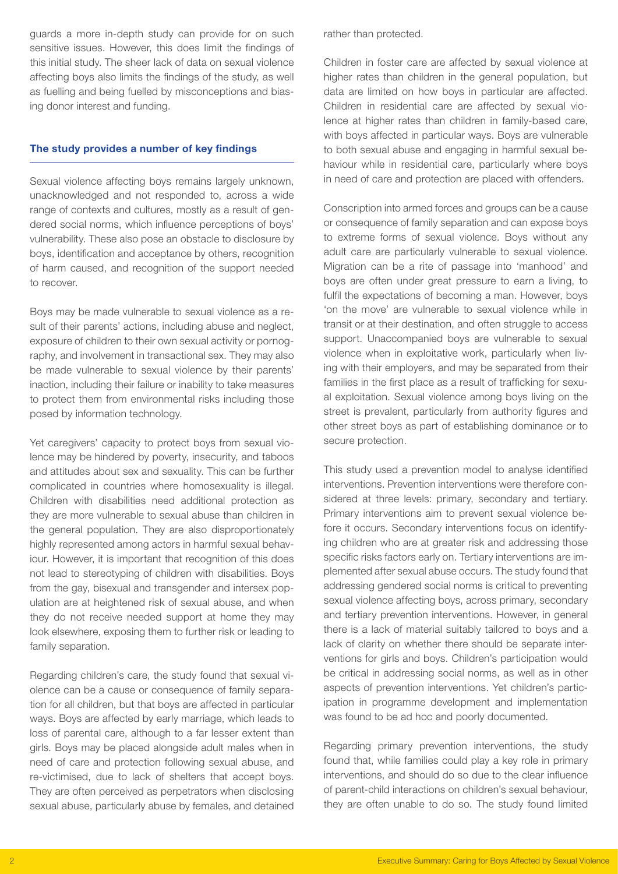guards a more in-depth study can provide for on such sensitive issues. However, this does limit the findings of this initial study. The sheer lack of data on sexual violence affecting boys also limits the findings of the study, as well as fuelling and being fuelled by misconceptions and biasing donor interest and funding.

#### The study provides a number of key findings

Sexual violence affecting boys remains largely unknown, unacknowledged and not responded to, across a wide range of contexts and cultures, mostly as a result of gendered social norms, which influence perceptions of boys' vulnerability. These also pose an obstacle to disclosure by boys, identification and acceptance by others, recognition of harm caused, and recognition of the support needed to recover.

Boys may be made vulnerable to sexual violence as a result of their parents' actions, including abuse and neglect, exposure of children to their own sexual activity or pornography, and involvement in transactional sex. They may also be made vulnerable to sexual violence by their parents' inaction, including their failure or inability to take measures to protect them from environmental risks including those posed by information technology.

Yet caregivers' capacity to protect boys from sexual violence may be hindered by poverty, insecurity, and taboos and attitudes about sex and sexuality. This can be further complicated in countries where homosexuality is illegal. Children with disabilities need additional protection as they are more vulnerable to sexual abuse than children in the general population. They are also disproportionately highly represented among actors in harmful sexual behaviour. However, it is important that recognition of this does not lead to stereotyping of children with disabilities. Boys from the gay, bisexual and transgender and intersex population are at heightened risk of sexual abuse, and when they do not receive needed support at home they may look elsewhere, exposing them to further risk or leading to family separation.

Regarding children's care, the study found that sexual violence can be a cause or consequence of family separation for all children, but that boys are affected in particular ways. Boys are affected by early marriage, which leads to loss of parental care, although to a far lesser extent than girls. Boys may be placed alongside adult males when in need of care and protection following sexual abuse, and re-victimised, due to lack of shelters that accept boys. They are often perceived as perpetrators when disclosing sexual abuse, particularly abuse by females, and detained

rather than protected.

Children in foster care are affected by sexual violence at higher rates than children in the general population, but data are limited on how boys in particular are affected. Children in residential care are affected by sexual violence at higher rates than children in family-based care, with boys affected in particular ways. Boys are vulnerable to both sexual abuse and engaging in harmful sexual behaviour while in residential care, particularly where boys in need of care and protection are placed with offenders.

Conscription into armed forces and groups can be a cause or consequence of family separation and can expose boys to extreme forms of sexual violence. Boys without any adult care are particularly vulnerable to sexual violence. Migration can be a rite of passage into 'manhood' and boys are often under great pressure to earn a living, to fulfil the expectations of becoming a man. However, boys 'on the move' are vulnerable to sexual violence while in transit or at their destination, and often struggle to access support. Unaccompanied boys are vulnerable to sexual violence when in exploitative work, particularly when living with their employers, and may be separated from their families in the first place as a result of trafficking for sexual exploitation. Sexual violence among boys living on the street is prevalent, particularly from authority figures and other street boys as part of establishing dominance or to secure protection.

This study used a prevention model to analyse identified interventions. Prevention interventions were therefore considered at three levels: primary, secondary and tertiary. Primary interventions aim to prevent sexual violence before it occurs. Secondary interventions focus on identifying children who are at greater risk and addressing those specific risks factors early on. Tertiary interventions are implemented after sexual abuse occurs. The study found that addressing gendered social norms is critical to preventing sexual violence affecting boys, across primary, secondary and tertiary prevention interventions. However, in general there is a lack of material suitably tailored to boys and a lack of clarity on whether there should be separate interventions for girls and boys. Children's participation would be critical in addressing social norms, as well as in other aspects of prevention interventions. Yet children's participation in programme development and implementation was found to be ad hoc and poorly documented.

Regarding primary prevention interventions, the study found that, while families could play a key role in primary interventions, and should do so due to the clear influence of parent-child interactions on children's sexual behaviour, they are often unable to do so. The study found limited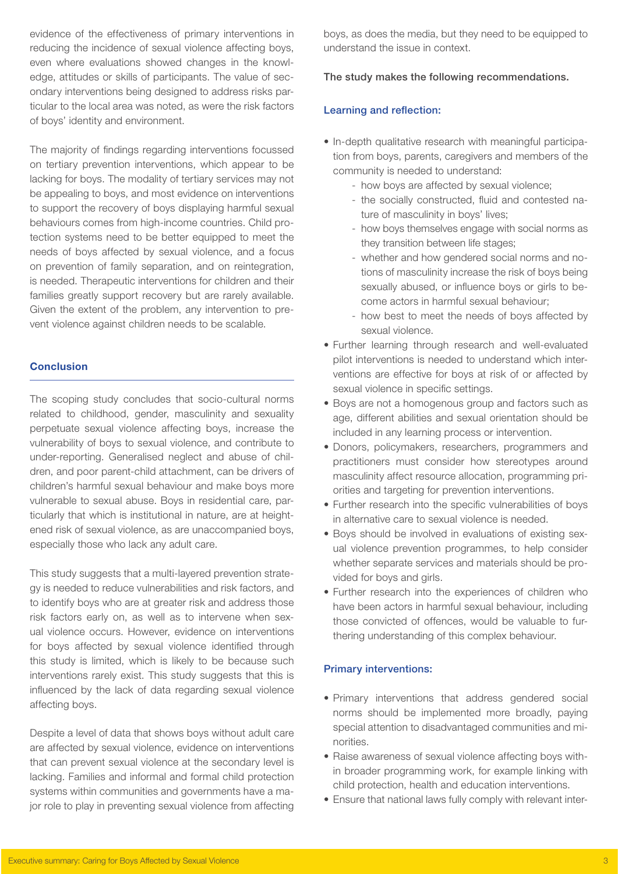evidence of the effectiveness of primary interventions in reducing the incidence of sexual violence affecting boys, even where evaluations showed changes in the knowledge, attitudes or skills of participants. The value of secondary interventions being designed to address risks particular to the local area was noted, as were the risk factors of boys' identity and environment.

The majority of findings regarding interventions focussed on tertiary prevention interventions, which appear to be lacking for boys. The modality of tertiary services may not be appealing to boys, and most evidence on interventions to support the recovery of boys displaying harmful sexual behaviours comes from high-income countries. Child protection systems need to be better equipped to meet the needs of boys affected by sexual violence, and a focus on prevention of family separation, and on reintegration, is needed. Therapeutic interventions for children and their families greatly support recovery but are rarely available. Given the extent of the problem, any intervention to prevent violence against children needs to be scalable.

## **Conclusion**

The scoping study concludes that socio-cultural norms related to childhood, gender, masculinity and sexuality perpetuate sexual violence affecting boys, increase the vulnerability of boys to sexual violence, and contribute to under-reporting. Generalised neglect and abuse of children, and poor parent-child attachment, can be drivers of children's harmful sexual behaviour and make boys more vulnerable to sexual abuse. Boys in residential care, particularly that which is institutional in nature, are at heightened risk of sexual violence, as are unaccompanied boys, especially those who lack any adult care.

This study suggests that a multi-layered prevention strategy is needed to reduce vulnerabilities and risk factors, and to identify boys who are at greater risk and address those risk factors early on, as well as to intervene when sexual violence occurs. However, evidence on interventions for boys affected by sexual violence identified through this study is limited, which is likely to be because such interventions rarely exist. This study suggests that this is influenced by the lack of data regarding sexual violence affecting boys.

Despite a level of data that shows boys without adult care are affected by sexual violence, evidence on interventions that can prevent sexual violence at the secondary level is lacking. Families and informal and formal child protection systems within communities and governments have a major role to play in preventing sexual violence from affecting boys, as does the media, but they need to be equipped to understand the issue in context.

#### The study makes the following recommendations.

#### Learning and reflection:

- In-depth qualitative research with meaningful participation from boys, parents, caregivers and members of the community is needed to understand:
	- how boys are affected by sexual violence;
	- the socially constructed, fluid and contested nature of masculinity in boys' lives;
	- how boys themselves engage with social norms as they transition between life stages;
	- whether and how gendered social norms and notions of masculinity increase the risk of boys being sexually abused, or influence boys or girls to become actors in harmful sexual behaviour;
	- how best to meet the needs of boys affected by sexual violence.
- Further learning through research and well-evaluated pilot interventions is needed to understand which interventions are effective for boys at risk of or affected by sexual violence in specific settings.
- Boys are not a homogenous group and factors such as age, different abilities and sexual orientation should be included in any learning process or intervention.
- • Donors, policymakers, researchers, programmers and practitioners must consider how stereotypes around masculinity affect resource allocation, programming priorities and targeting for prevention interventions.
- Further research into the specific vulnerabilities of boys in alternative care to sexual violence is needed.
- Boys should be involved in evaluations of existing sexual violence prevention programmes, to help consider whether separate services and materials should be provided for boys and girls.
- Further research into the experiences of children who have been actors in harmful sexual behaviour, including those convicted of offences, would be valuable to furthering understanding of this complex behaviour.

#### Primary interventions:

- Primary interventions that address gendered social norms should be implemented more broadly, paying special attention to disadvantaged communities and minorities.
- Raise awareness of sexual violence affecting boys within broader programming work, for example linking with child protection, health and education interventions.
- Ensure that national laws fully comply with relevant inter-